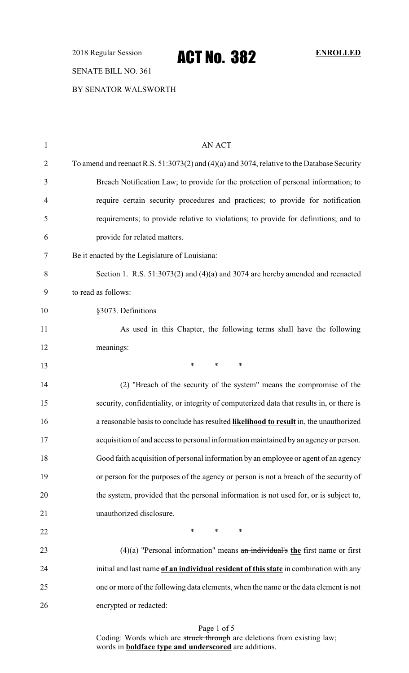2018 Regular Session **ACT NO. 382** ENROLLED

## SENATE BILL NO. 361

BY SENATOR WALSWORTH

| $\mathbf{1}$   | AN ACT                                                                                      |
|----------------|---------------------------------------------------------------------------------------------|
| $\overline{2}$ | To amend and reenact R.S. 51:3073(2) and (4)(a) and 3074, relative to the Database Security |
| 3              | Breach Notification Law; to provide for the protection of personal information; to          |
| $\overline{4}$ | require certain security procedures and practices; to provide for notification              |
| 5              | requirements; to provide relative to violations; to provide for definitions; and to         |
| 6              | provide for related matters.                                                                |
| 7              | Be it enacted by the Legislature of Louisiana:                                              |
| 8              | Section 1. R.S. 51:3073(2) and (4)(a) and 3074 are hereby amended and reenacted             |
| 9              | to read as follows:                                                                         |
| 10             | §3073. Definitions                                                                          |
| 11             | As used in this Chapter, the following terms shall have the following                       |
| 12             | meanings:                                                                                   |
| 13             | *<br>$\ast$<br>∗                                                                            |
| 14             | (2) "Breach of the security of the system" means the compromise of the                      |
| 15             | security, confidentiality, or integrity of computerized data that results in, or there is   |
| 16             | a reasonable basis to conclude has resulted likelihood to result in, the unauthorized       |
| 17             | acquisition of and access to personal information maintained by an agency or person.        |
| 18             | Good faith acquisition of personal information by an employee or agent of an agency         |
| 19             | or person for the purposes of the agency or person is not a breach of the security of       |
| 20             | the system, provided that the personal information is not used for, or is subject to,       |
| 21             | unauthorized disclosure.                                                                    |
| 22             | $\ast$<br>$\ast$<br>$\ast$                                                                  |
| 23             | $(4)(a)$ "Personal information" means an individual's the first name or first               |
| 24             | initial and last name of an individual resident of this state in combination with any       |
| 25             | one or more of the following data elements, when the name or the data element is not        |
| 26             | encrypted or redacted:                                                                      |
|                |                                                                                             |

Page 1 of 5 Coding: Words which are struck through are deletions from existing law; words in **boldface type and underscored** are additions.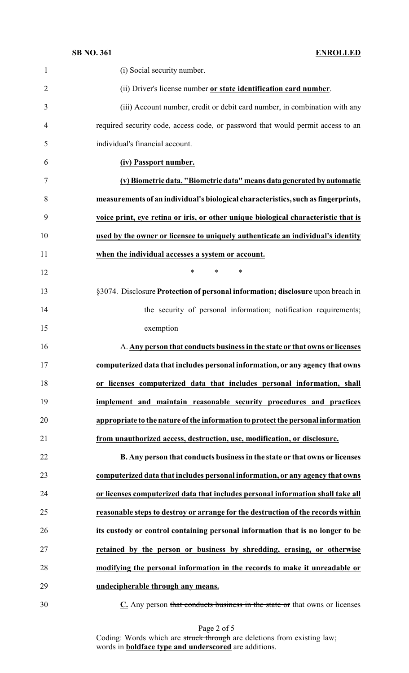| $\mathbf{1}$   | (i) Social security number.                                                        |
|----------------|------------------------------------------------------------------------------------|
| $\overline{2}$ | (ii) Driver's license number or state identification card number.                  |
| 3              | (iii) Account number, credit or debit card number, in combination with any         |
| 4              | required security code, access code, or password that would permit access to an    |
| 5              | individual's financial account.                                                    |
| 6              | (iv) Passport number.                                                              |
| 7              | (v) Biometric data. "Biometric data" means data generated by automatic             |
| 8              | measurements of an individual's biological characteristics, such as fingerprints,  |
| 9              | voice print, eye retina or iris, or other unique biological characteristic that is |
| 10             | used by the owner or licensee to uniquely authenticate an individual's identity    |
| 11             | when the individual accesses a system or account.                                  |
| 12             | *<br>$\ast$<br>∗                                                                   |
| 13             | §3074. Disclosure Protection of personal information; disclosure upon breach in    |
| 14             | the security of personal information; notification requirements;                   |
| 15             | exemption                                                                          |
| 16             | A. Any person that conducts business in the state or that owns or licenses         |
| 17             | computerized data that includes personal information, or any agency that owns      |
| 18             | or licenses computerized data that includes personal information, shall            |
| 19             | implement and maintain reasonable security procedures and practices                |
| 20             | appropriate to the nature of the information to protect the personal information   |
| 21             | from unauthorized access, destruction, use, modification, or disclosure.           |
| 22             | B. Any person that conducts business in the state or that owns or licenses         |
| 23             | computerized data that includes personal information, or any agency that owns      |
| 24             | or licenses computerized data that includes personal information shall take all    |
| 25             | reasonable steps to destroy or arrange for the destruction of the records within   |
| 26             | its custody or control containing personal information that is no longer to be     |
| 27             | retained by the person or business by shredding, erasing, or otherwise             |
| 28             | modifying the personal information in the records to make it unreadable or         |
| 29             | undecipherable through any means.                                                  |
| $30 -$         | $C$ Any person that conducts business in the state or that owns or licenses        |

**C.** Any person that conducts business in the state or that owns or licenses

Page 2 of 5 Coding: Words which are struck through are deletions from existing law; words in **boldface type and underscored** are additions.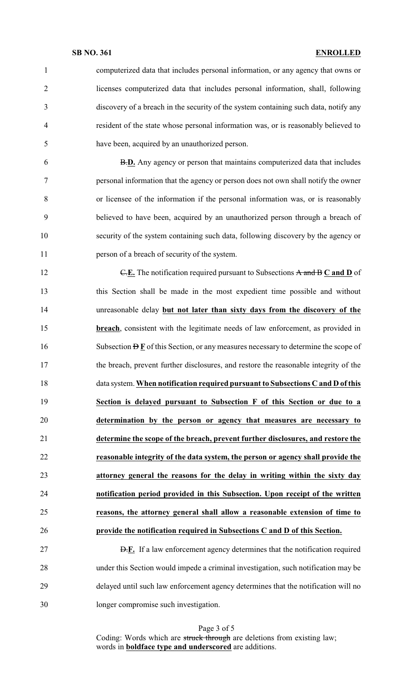### **SB NO. 361 ENROLLED**

 computerized data that includes personal information, or any agency that owns or licenses computerized data that includes personal information, shall, following discovery of a breach in the security of the system containing such data, notify any resident of the state whose personal information was, or is reasonably believed to have been, acquired by an unauthorized person. B.**D.** Any agency or person that maintains computerized data that includes personal information that the agency or person does not own shall notify the owner or licensee of the information if the personal information was, or is reasonably believed to have been, acquired by an unauthorized person through a breach of security of the system containing such data, following discovery by the agency or person of a breach of security of the system. 12 C.E. The notification required pursuant to Subsections A and B C and D of this Section shall be made in the most expedient time possible and without unreasonable delay **but not later than sixty days from the discovery of the breach**, consistent with the legitimate needs of law enforcement, as provided in 16 Subsection  $\overline{D}$   $\overline{F}$  of this Section, or any measures necessary to determine the scope of the breach, prevent further disclosures, and restore the reasonable integrity of the data system. **When notification required pursuant to Subsections C and D of this Section is delayed pursuant to Subsection F of this Section or due to a determination by the person or agency that measures are necessary to determine the scope of the breach, prevent further disclosures, and restore the reasonable integrity of the data system, the person or agency shall provide the attorney general the reasons for the delay in writing within the sixty day notification period provided in this Subsection. Upon receipt of the written reasons, the attorney general shall allow a reasonable extension of time to provide the notification required in Subsections C and D of this Section.** D.**F.** If a law enforcement agency determines that the notification required under this Section would impede a criminal investigation, such notification may be delayed until such law enforcement agency determines that the notification will no

longer compromise such investigation.

Page 3 of 5

Coding: Words which are struck through are deletions from existing law; words in **boldface type and underscored** are additions.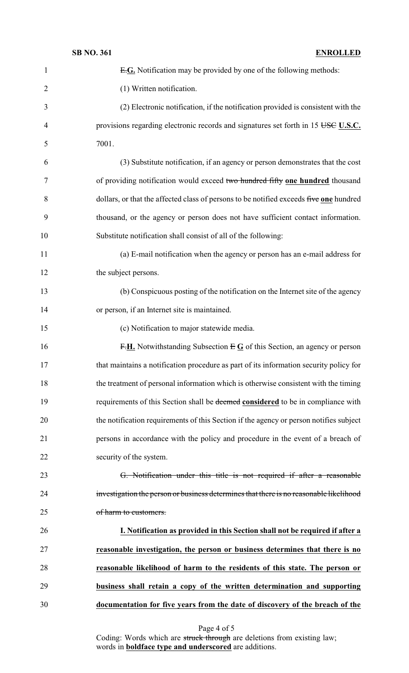| $\mathbf{1}$   | E.G. Notification may be provided by one of the following methods:                     |
|----------------|----------------------------------------------------------------------------------------|
| $\overline{2}$ | (1) Written notification.                                                              |
| 3              | (2) Electronic notification, if the notification provided is consistent with the       |
| $\overline{4}$ | provisions regarding electronic records and signatures set forth in 15 USC U.S.C.      |
| 5              | 7001.                                                                                  |
| 6              | (3) Substitute notification, if an agency or person demonstrates that the cost         |
| 7              | of providing notification would exceed two hundred fifty one hundred thousand          |
| 8              | dollars, or that the affected class of persons to be notified exceeds five one hundred |
| 9              | thousand, or the agency or person does not have sufficient contact information.        |
| 10             | Substitute notification shall consist of all of the following:                         |
| 11             | (a) E-mail notification when the agency or person has an e-mail address for            |
| 12             | the subject persons.                                                                   |
| 13             | (b) Conspicuous posting of the notification on the Internet site of the agency         |
| 14             | or person, if an Internet site is maintained.                                          |
| 15             | (c) Notification to major statewide media.                                             |
| 16             | F.H. Notwithstanding Subsection $E \mathbf{G}$ of this Section, an agency or person    |
| 17             | that maintains a notification procedure as part of its information security policy for |
| 18             | the treatment of personal information which is otherwise consistent with the timing    |
| 19             | requirements of this Section shall be deemed considered to be in compliance with       |
| 20             | the notification requirements of this Section if the agency or person notifies subject |
| 21             | persons in accordance with the policy and procedure in the event of a breach of        |
| 22             | security of the system.                                                                |
| 23             | G. Notification under this title is not required if after a reasonable                 |
| 24             | investigation the person or business determines that there is no reasonable likelihood |
| 25             | of harm to customers.                                                                  |
| 26             | I. Notification as provided in this Section shall not be required if after a           |
| 27             | reasonable investigation, the person or business determines that there is no           |
| 28             | reasonable likelihood of harm to the residents of this state. The person or            |
| 29             | business shall retain a copy of the written determination and supporting               |
| 30             | documentation for five years from the date of discovery of the breach of the           |

Page 4 of 5

Coding: Words which are struck through are deletions from existing law; words in **boldface type and underscored** are additions.